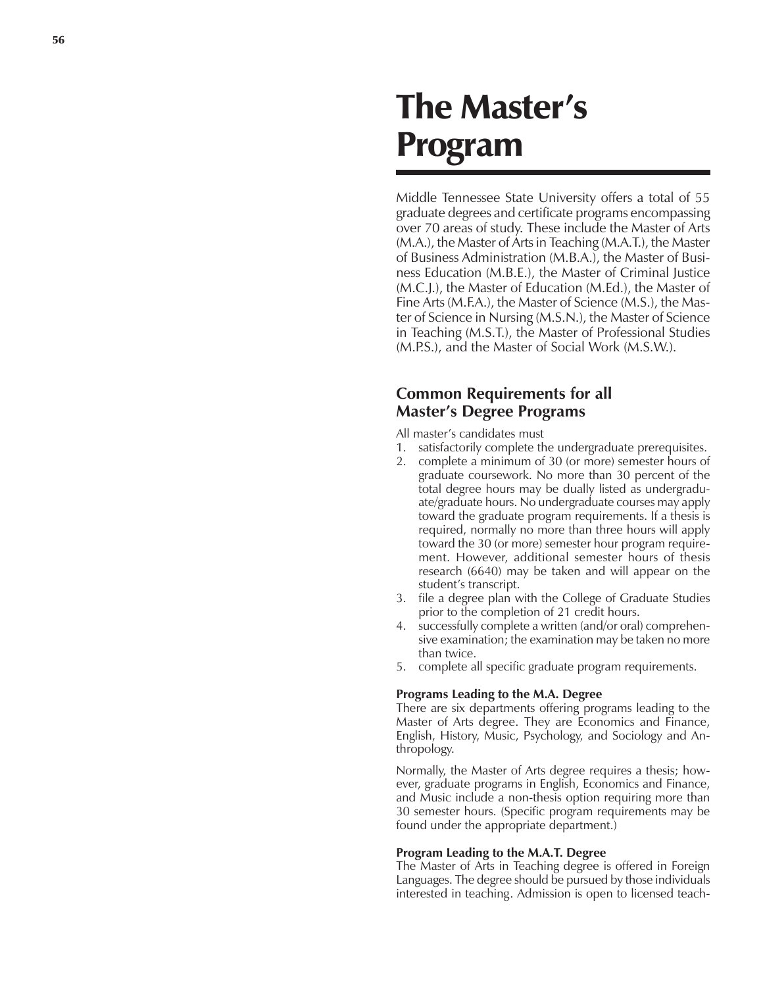# The Master's Program

Middle Tennessee State University offers a total of 55 graduate degrees and certificate programs encompassing over 70 areas of study. These include the Master of Arts (M.A.), the Master of Arts in Teaching (M.A.T.), the Master of Business Administration (M.B.A.), the Master of Business Education (M.B.E.), the Master of Criminal Justice (M.C.J.), the Master of Education (M.Ed.), the Master of Fine Arts (M.F.A.), the Master of Science (M.S.), the Master of Science in Nursing (M.S.N.), the Master of Science in Teaching (M.S.T.), the Master of Professional Studies (M.P.S.), and the Master of Social Work (M.S.W.).

# **Common Requirements for all Master's Degree Programs**

All master's candidates must

- 1. satisfactorily complete the undergraduate prerequisites.
- 2. complete a minimum of 30 (or more) semester hours of graduate coursework. No more than 30 percent of the total degree hours may be dually listed as undergraduate/graduate hours. No undergraduate courses may apply toward the graduate program requirements. If a thesis is required, normally no more than three hours will apply toward the 30 (or more) semester hour program requirement. However, additional semester hours of thesis research (6640) may be taken and will appear on the student's transcript.
- 3. file a degree plan with the College of Graduate Studies prior to the completion of 21 credit hours.
- 4. successfully complete a written (and/or oral) comprehensive examination; the examination may be taken no more than twice.
- 5. complete all specific graduate program requirements.

# **Programs Leading to the M.A. Degree**

There are six departments offering programs leading to the Master of Arts degree. They are Economics and Finance, English, History, Music, Psychology, and Sociology and Anthropology.

Normally, the Master of Arts degree requires a thesis; however, graduate programs in English, Economics and Finance, and Music include a non-thesis option requiring more than 30 semester hours. (Specific program requirements may be found under the appropriate department.)

# **Program Leading to the M.A.T. Degree**

The Master of Arts in Teaching degree is offered in Foreign Languages. The degree should be pursued by those individuals interested in teaching. Admission is open to licensed teach